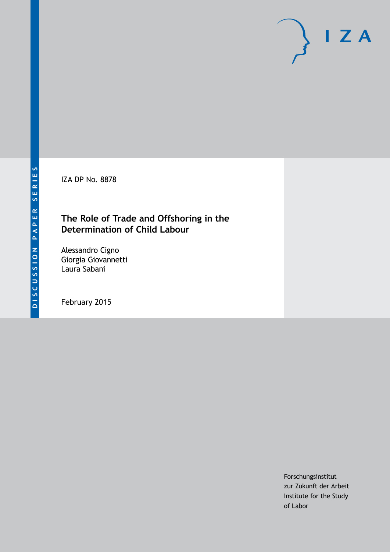IZA DP No. 8878

# **The Role of Trade and Offshoring in the Determination of Child Labour**

Alessandro Cigno Giorgia Giovannetti Laura Sabani

February 2015

Forschungsinstitut zur Zukunft der Arbeit Institute for the Study of Labor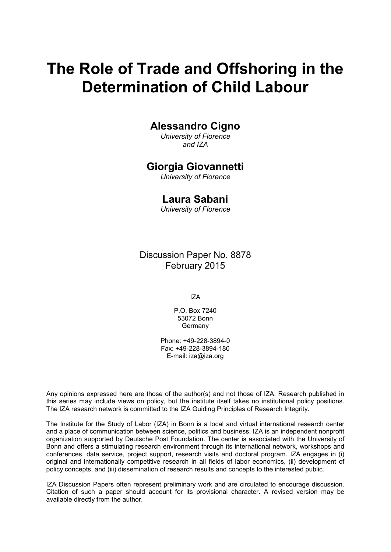# **The Role of Trade and Offshoring in the Determination of Child Labour**

## **Alessandro Cigno**

*University of Florence and IZA*

## **Giorgia Giovannetti**

*University of Florence*

## **Laura Sabani**

*University of Florence*

Discussion Paper No. 8878 February 2015

IZA

P.O. Box 7240 53072 Bonn **Germany** 

Phone: +49-228-3894-0 Fax: +49-228-3894-180 E-mail: [iza@iza.org](mailto:iza@iza.org)

Any opinions expressed here are those of the author(s) and not those of IZA. Research published in this series may include views on policy, but the institute itself takes no institutional policy positions. The IZA research network is committed to the IZA Guiding Principles of Research Integrity.

The Institute for the Study of Labor (IZA) in Bonn is a local and virtual international research center and a place of communication between science, politics and business. IZA is an independent nonprofit organization supported by Deutsche Post Foundation. The center is associated with the University of Bonn and offers a stimulating research environment through its international network, workshops and conferences, data service, project support, research visits and doctoral program. IZA engages in (i) original and internationally competitive research in all fields of labor economics, (ii) development of policy concepts, and (iii) dissemination of research results and concepts to the interested public.

IZA Discussion Papers often represent preliminary work and are circulated to encourage discussion. Citation of such a paper should account for its provisional character. A revised version may be available directly from the author.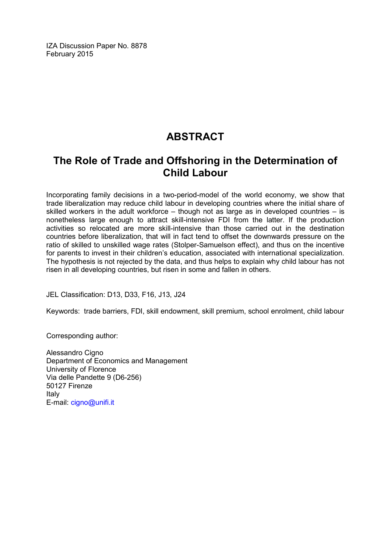IZA Discussion Paper No. 8878 February 2015

# **ABSTRACT**

# **The Role of Trade and Offshoring in the Determination of Child Labour**

Incorporating family decisions in a two-period-model of the world economy, we show that trade liberalization may reduce child labour in developing countries where the initial share of skilled workers in the adult workforce – though not as large as in developed countries – is nonetheless large enough to attract skill-intensive FDI from the latter. If the production activities so relocated are more skill-intensive than those carried out in the destination countries before liberalization, that will in fact tend to offset the downwards pressure on the ratio of skilled to unskilled wage rates (Stolper-Samuelson effect), and thus on the incentive for parents to invest in their children's education, associated with international specialization. The hypothesis is not rejected by the data, and thus helps to explain why child labour has not risen in all developing countries, but risen in some and fallen in others.

JEL Classification: D13, D33, F16, J13, J24

Keywords: trade barriers, FDI, skill endowment, skill premium, school enrolment, child labour

Corresponding author:

Alessandro Cigno Department of Economics and Management University of Florence Via delle Pandette 9 (D6-256) 50127 Firenze Italy E-mail: [cigno@unifi.it](mailto:cigno@unifi.it)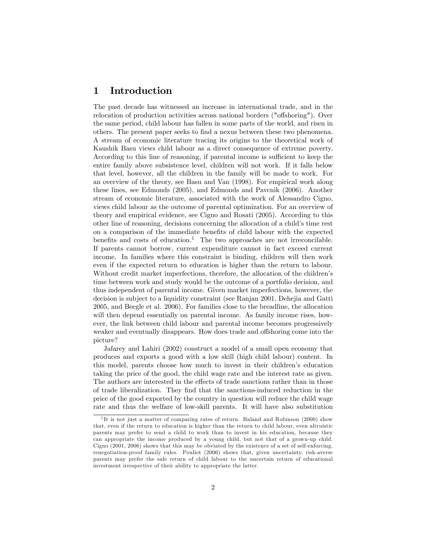#### 1 Introduction

The past decade has witnessed an increase in international trade, and in the relocation of production activities across national borders ("offshoring"). Over the same period, child labour has fallen in some parts of the world, and risen in others. The present paper seeks to Önd a nexus between these two phenomena. A stream of economic literature tracing its origins to the theoretical work of Kaushik Basu views child labour as a direct consequence of extreme poverty. According to this line of reasoning, if parental income is sufficient to keep the entire family above subsistence level, children will not work. If it falls below that level, however, all the children in the family will be made to work. For an overview of the theory, see Basu and Van (1998). For empirical work along these lines, see Edmonds (2005), and Edmonds and Pavcnik (2006). Another stream of economic literature, associated with the work of Alessandro Cigno, views child labour as the outcome of parental optimization. For an overview of theory and empirical evidence, see Cigno and Rosati (2005). According to this other line of reasoning, decisions concerning the allocation of a child's time rest on a comparison of the immediate benefits of child labour with the expected benefits and costs of education.<sup>1</sup> The two approaches are not irreconcilable. If parents cannot borrow, current expenditure cannot in fact exceed current income. In families where this constraint is binding, children will then work even if the expected return to education is higher than the return to labour. Without credit market imperfections, therefore, the allocation of the children's time between work and study would be the outcome of a portfolio decision, and thus independent of parental income. Given market imperfections, however, the decision is subject to a liquidity constraint (see Ranjan 2001, Dehejia and Gatti 2005, and Beegle et al. 2006). For families close to the breadline, the allocation will then depend essentially on parental income. As family income rises, however, the link between child labour and parental income becomes progressively weaker and eventually disappears. How does trade and offshoring come into the picture?

Jafarey and Lahiri (2002) construct a model of a small open economy that produces and exports a good with a low skill (high child labour) content. In this model, parents choose how much to invest in their children's education taking the price of the good, the child wage rate and the interest rate as given. The authors are interested in the effects of trade sanctions rather than in those of trade liberalization. They Önd that the sanctions-induced reduction in the price of the good exported by the country in question will reduce the child wage rate and thus the welfare of low-skill parents. It will have also substitution

<sup>&</sup>lt;sup>1</sup>It is not just a matter of comparing rates of return. Baland and Robinson (2000) show that, even if the return to education is higher than the return to child labour, even altruistic parents may prefer to send a child to work than to invest in his education, because they can appropriate the income produced by a young child, but not that of a grown-up child. Cigno (2001, 2006) shows that this may be obviated by the existence of a set of self-enforcing, renegotiation-proof family rules. Pouliot (2006) shows that, given uncertainty, risk-averse parents may prefer the safe return of child labour to the uncertain return of educational investment irrespective of their ability to appropriate the latter.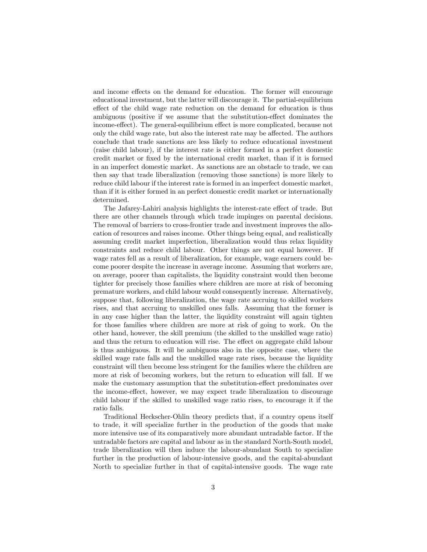and income effects on the demand for education. The former will encourage educational investment, but the latter will discourage it. The partial-equilibrium effect of the child wage rate reduction on the demand for education is thus ambiguous (positive if we assume that the substitution-effect dominates the income-effect). The general-equilibrium effect is more complicated, because not only the child wage rate, but also the interest rate may be affected. The authors conclude that trade sanctions are less likely to reduce educational investment (raise child labour), if the interest rate is either formed in a perfect domestic credit market or Öxed by the international credit market, than if it is formed in an imperfect domestic market. As sanctions are an obstacle to trade, we can then say that trade liberalization (removing those sanctions) is more likely to reduce child labour if the interest rate is formed in an imperfect domestic market, than if it is either formed in an perfect domestic credit market or internationally determined.

The Jafarey-Lahiri analysis highlights the interest-rate effect of trade. But there are other channels through which trade impinges on parental decisions. The removal of barriers to cross-frontier trade and investment improves the allocation of resources and raises income. Other things being equal, and realistically assuming credit market imperfection, liberalization would thus relax liquidity constraints and reduce child labour. Other things are not equal however. If wage rates fell as a result of liberalization, for example, wage earners could become poorer despite the increase in average income. Assuming that workers are, on average, poorer than capitalists, the liquidity constraint would then become tighter for precisely those families where children are more at risk of becoming premature workers, and child labour would consequently increase. Alternatively, suppose that, following liberalization, the wage rate accruing to skilled workers rises, and that accruing to unskilled ones falls. Assuming that the former is in any case higher than the latter, the liquidity constraint will again tighten for those families where children are more at risk of going to work. On the other hand, however, the skill premium (the skilled to the unskilled wage ratio) and thus the return to education will rise. The effect on aggregate child labour is thus ambiguous. It will be ambiguous also in the opposite case, where the skilled wage rate falls and the unskilled wage rate rises, because the liquidity constraint will then become less stringent for the families where the children are more at risk of becoming workers, but the return to education will fall. If we make the customary assumption that the substitution-effect predominates over the income-effect, however, we may expect trade liberalization to discourage child labour if the skilled to unskilled wage ratio rises, to encourage it if the ratio falls.

Traditional Heckscher-Ohlin theory predicts that, if a country opens itself to trade, it will specialize further in the production of the goods that make more intensive use of its comparatively more abundant untradable factor. If the untradable factors are capital and labour as in the standard North-South model, trade liberalization will then induce the labour-abundant South to specialize further in the production of labour-intensive goods, and the capital-abundant North to specialize further in that of capital-intensive goods. The wage rate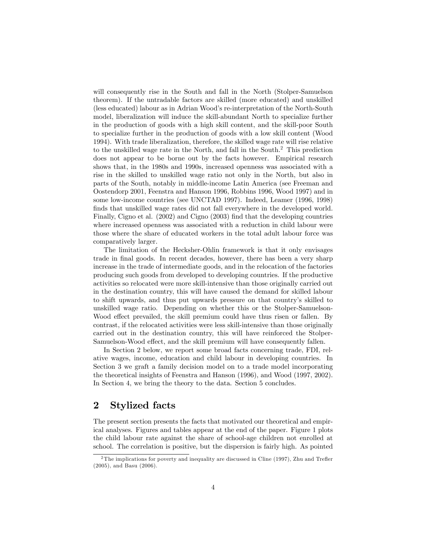will consequently rise in the South and fall in the North (Stolper-Samuelson theorem). If the untradable factors are skilled (more educated) and unskilled (less educated) labour as in Adrian Woodís re-interpretation of the North-South model, liberalization will induce the skill-abundant North to specialize further in the production of goods with a high skill content, and the skill-poor South to specialize further in the production of goods with a low skill content (Wood 1994). With trade liberalization, therefore, the skilled wage rate will rise relative to the unskilled wage rate in the North, and fall in the South.<sup>2</sup> This prediction does not appear to be borne out by the facts however. Empirical research shows that, in the 1980s and 1990s, increased openness was associated with a rise in the skilled to unskilled wage ratio not only in the North, but also in parts of the South, notably in middle-income Latin America (see Freeman and Oostendorp 2001, Feenstra and Hanson 1996, Robbins 1996, Wood 1997) and in some low-income countries (see UNCTAD 1997). Indeed, Leamer (1996, 1998) finds that unskilled wage rates did not fall everywhere in the developed world. Finally, Cigno et al.  $(2002)$  and Cigno  $(2003)$  find that the developing countries where increased openness was associated with a reduction in child labour were those where the share of educated workers in the total adult labour force was comparatively larger.

The limitation of the Hecksher-Ohlin framework is that it only envisages trade in final goods. In recent decades, however, there has been a very sharp increase in the trade of intermediate goods, and in the relocation of the factories producing such goods from developed to developing countries. If the productive activities so relocated were more skill-intensive than those originally carried out in the destination country, this will have caused the demand for skilled labour to shift upwards, and thus put upwards pressure on that countryís skilled to unskilled wage ratio. Depending on whether this or the Stolper-Samuelson-Wood effect prevailed, the skill premium could have thus risen or fallen. By contrast, if the relocated activities were less skill-intensive than those originally carried out in the destination country, this will have reinforced the Stolper-Samuelson-Wood effect, and the skill premium will have consequently fallen.

In Section 2 below, we report some broad facts concerning trade, FDI, relative wages, income, education and child labour in developing countries. In Section 3 we graft a family decision model on to a trade model incorporating the theoretical insights of Feenstra and Hanson (1996), and Wood (1997, 2002). In Section 4, we bring the theory to the data. Section 5 concludes.

### 2 Stylized facts

The present section presents the facts that motivated our theoretical and empirical analyses. Figures and tables appear at the end of the paper. Figure 1 plots the child labour rate against the share of school-age children not enrolled at school. The correlation is positive, but the dispersion is fairly high. As pointed

 $2$ The implications for poverty and inequality are discussed in Cline (1997), Zhu and Trefler (2005), and Basu (2006).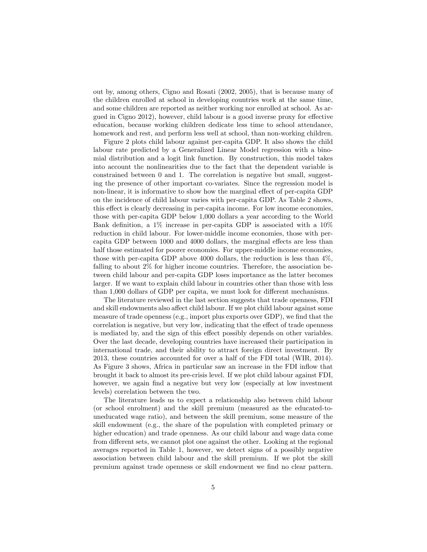out by, among others, Cigno and Rosati (2002, 2005), that is because many of the children enrolled at school in developing countries work at the same time, and some children are reported as neither working nor enrolled at school. As argued in Cigno 2012), however, child labour is a good inverse proxy for effective education, because working children dedicate less time to school attendance, homework and rest, and perform less well at school, than non-working children.

Figure 2 plots child labour against per-capita GDP. It also shows the child labour rate predicted by a Generalized Linear Model regression with a binomial distribution and a logit link function. By construction, this model takes into account the nonlinearities due to the fact that the dependent variable is constrained between 0 and 1. The correlation is negative but small, suggesting the presence of other important co-variates. Since the regression model is non-linear, it is informative to show how the marginal effect of per-capita GDP on the incidence of child labour varies with per-capita GDP. As Table 2 shows, this effect is clearly decreasing in per-capita income. For low income economies, those with per-capita GDP below 1,000 dollars a year according to the World Bank definition, a  $1\%$  increase in per-capita GDP is associated with a  $10\%$ reduction in child labour. For lower-middle income economies, those with percapita GDP between 1000 and 4000 dollars, the marginal effects are less than half those estimated for poorer economies. For upper-middle income economies, those with per-capita GDP above 4000 dollars, the reduction is less than 4%, falling to about 2% for higher income countries. Therefore, the association between child labour and per-capita GDP loses importance as the latter becomes larger. If we want to explain child labour in countries other than those with less than  $1,000$  dollars of GDP per capita, we must look for different mechanisms.

The literature reviewed in the last section suggests that trade openness, FDI and skill endowments also affect child labour. If we plot child labour against some measure of trade openness (e.g., import plus exports over GDP), we find that the correlation is negative, but very low, indicating that the effect of trade openness is mediated by, and the sign of this effect possibly depends on other variables. Over the last decade, developing countries have increased their participation in international trade, and their ability to attract foreign direct investment. By 2013, these countries accounted for over a half of the FDI total (WIR, 2014). As Figure 3 shows, Africa in particular saw an increase in the FDI inflow that brought it back to almost its pre-crisis level. If we plot child labour against FDI, however, we again find a negative but very low (especially at low investment levels) correlation between the two.

The literature leads us to expect a relationship also between child labour (or school enrolment) and the skill premium (measured as the educated-touneducated wage ratio), and between the skill premium, some measure of the skill endowment (e.g., the share of the population with completed primary or higher education) and trade openness. As our child labour and wage data come from different sets, we cannot plot one against the other. Looking at the regional averages reported in Table 1, however, we detect signs of a possibly negative association between child labour and the skill premium. If we plot the skill premium against trade openness or skill endowment we Önd no clear pattern.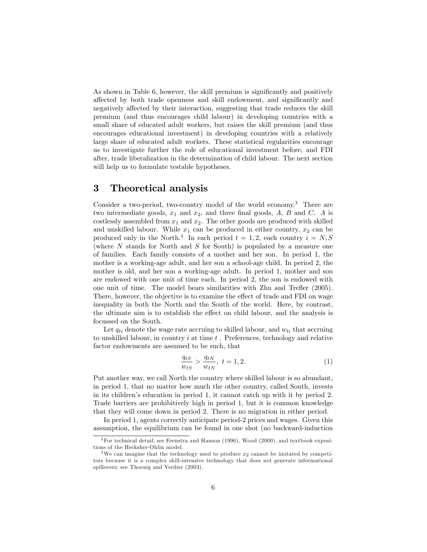As shown in Table 6, however, the skill premium is significantly and positively affected by both trade openness and skill endowment, and significantly and negatively affected by their interaction, suggesting that trade reduces the skill premium (and thus encourages child labour) in developing countries with a small share of educated adult workers, but raises the skill premium (and thus encourages educational investment) in developing countries with a relatively large share of educated adult workers. These statistical regularities encourage us to investigate further the role of educational investment before, and FDI after, trade liberalization in the determination of child labour. The next section will help us to formulate testable hypotheses.

#### 3 Theoretical analysis

Consider a two-period, two-country model of the world economy.<sup>3</sup> There are two intermediate goods,  $x_1$  and  $x_2$ , and three final goods, A, B and C. A is costlessly assembled from  $x_1$  and  $x_2$ . The other goods are produced with skilled and unskilled labour. While  $x_1$  can be produced in either country,  $x_2$  can be produced only in the North.<sup>4</sup> In each period  $t = 1, 2$ , each country  $i = N, S$ (where  $N$  stands for North and  $S$  for South) is populated by a measure one of families. Each family consists of a mother and her son. In period 1, the mother is a working-age adult, and her son a school-age child. In period 2, the mother is old, and her son a working-age adult. In period 1, mother and son are endowed with one unit of time each. In period 2, the son is endowed with one unit of time. The model bears similarities with Zhu and Trefler (2005). There, however, the objective is to examine the effect of trade and FDI on wage inequality in both the North and the South of the world. Here, by contrast, the ultimate aim is to establish the effect on child labour, and the analysis is focussed on the South.

Let  $q_{ti}$  denote the wage rate accruing to skilled labour, and  $w_{ti}$  that accruing to unskilled labour, in country  $i$  at time  $t$ . Preferences, technology and relative factor endowments are assumed to be such, that

$$
\frac{q_{tS}}{w_{tS}} > \frac{q_{tN}}{w_{tN}}, \ t = 1, 2.
$$
 (1)

Put another way, we call North the country where skilled labour is so abundant, in period 1, that no matter how much the other country, called South, invests in its children's education in period 1, it cannot catch up with it by period 2. Trade barriers are prohibitively high in period 1, but it is common knowledge that they will come down in period 2. There is no migration in either period.

In period 1, agents correctly anticipate period-2 prices and wages. Given this assumption, the equilibrium can be found in one shot (no backward-induction

 $3$  For technical detail, see Feenstra and Hanson (1996), Wood (2000), and textbook expositions of the Hecksher-Ohlin model.

<sup>&</sup>lt;sup>4</sup>We can imagine that the technology used to produce  $x_2$  cannot be imitated by competitors because it is a complex skill-intensive technology that does not generate informational spillovers; see Thoenig and Verdier (2003).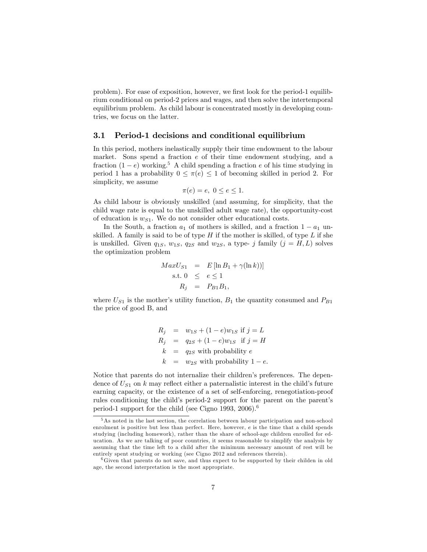problem). For ease of exposition, however, we first look for the period-1 equilibrium conditional on period-2 prices and wages, and then solve the intertemporal equilibrium problem. As child labour is concentrated mostly in developing countries, we focus on the latter.

#### 3.1 Period-1 decisions and conditional equilibrium

In this period, mothers inelastically supply their time endowment to the labour market. Sons spend a fraction e of their time endowment studying, and a fraction  $(1 - e)$  working.<sup>5</sup> A child spending a fraction e of his time studying in period 1 has a probability  $0 \leq \pi(e) \leq 1$  of becoming skilled in period 2. For simplicity, we assume

$$
\pi(e) = e, \ 0 \le e \le 1.
$$

As child labour is obviously unskilled (and assuming, for simplicity, that the child wage rate is equal to the unskilled adult wage rate), the opportunity-cost of education is  $w_{S1}$ . We do not consider other educational costs.

In the South, a fraction  $a_1$  of mothers is skilled, and a fraction  $1 - a_1$  unskilled. A family is said to be of type  $H$  if the mother is skilled, of type  $L$  if she is unskilled. Given  $q_{1S}$ ,  $w_{1S}$ ,  $q_{2S}$  and  $w_{2S}$ , a type- j family  $(j = H, L)$  solves the optimization problem

$$
MaxU_{S1} = E[\ln B_1 + \gamma(\ln k))]
$$
  
s.t.  $0 \le e \le 1$   
 $R_j = P_{B1}B_1$ ,

where  $U_{S1}$  is the mother's utility function,  $B_1$  the quantity consumed and  $P_{B1}$ the price of good B, and

$$
R_j = w_{1S} + (1 - e)w_{1S} \text{ if } j = L
$$
  
\n
$$
R_j = q_{2S} + (1 - e)w_{1S} \text{ if } j = H
$$
  
\n
$$
k = q_{2S} \text{ with probability } e
$$
  
\n
$$
k = w_{2S} \text{ with probability } 1 - e.
$$

Notice that parents do not internalize their children's preferences. The dependence of  $U_{S1}$  on k may reflect either a paternalistic interest in the child's future earning capacity, or the existence of a set of self-enforcing, renegotiation-proof rules conditioning the child's period-2 support for the parent on the parent's period-1 support for the child (see Cigno 1993, 2006).<sup>6</sup>

<sup>5</sup>As noted in the last section, the correlation between labour participation and non-school enrolment is positive but less than perfect. Here, however, e is the time that a child spends studying (including homework), rather than the share of school-age children enrolled for education. As we are talking of poor countries, it seems reasonable to simplify the analysis by assuming that the time left to a child after the minimum necessary amount of rest will be entirely spent studying or working (see Cigno 2012 and references therein).

 $66$  Given that parents do not save, and thus expect to be supported by their childen in old age, the second interpretation is the most appropriate.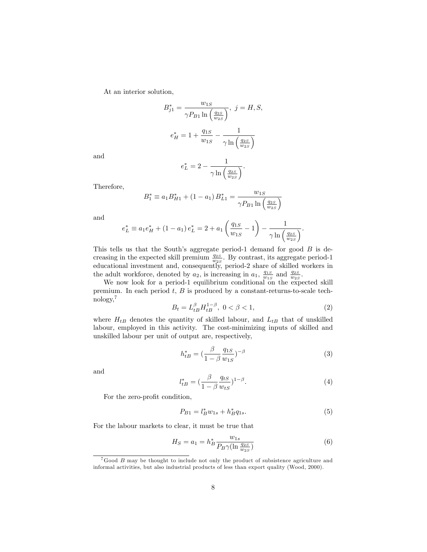At an interior solution,

$$
B_{j1}^{*} = \frac{w_{1S}}{\gamma P_{B1} \ln\left(\frac{q_{2S}}{w_{2S}}\right)}, \ j = H, S,
$$
  

$$
e_{H}^{*} = 1 + \frac{q_{1S}}{w_{1S}} - \frac{1}{\gamma \ln\left(\frac{q_{2S}}{w_{2S}}\right)}
$$

and

$$
e_L^* = 2 - \frac{1}{\gamma \ln \left( \frac{q_{2S}}{w_{2S}} \right)}.
$$

Therefore,

$$
B_1^* \equiv a_1 B_{H1}^* + (1 - a_1) B_{L1}^* = \frac{w_{1S}}{\gamma P_{B1} \ln\left(\frac{q_{2S}}{w_{2S}}\right)}
$$

and

$$
e_L^* \equiv a_1 e_H^* + (1 - a_1) e_L^* = 2 + a_1 \left(\frac{q_{1S}}{w_{1S}} - 1\right) - \frac{1}{\gamma \ln\left(\frac{q_{2S}}{w_{2S}}\right)}.
$$

This tells us that the South's aggregate period-1 demand for good  $B$  is decreasing in the expected skill premium  $\frac{q_{2S}}{w_{2S}}$ . By contrast, its aggregate period-1 educational investment and, consequently, period-2 share of skilled workers in the adult workforce, denoted by  $a_2$ , is increasing in  $a_1$ ,  $\frac{q_{1S}}{w_{1S}}$  and  $\frac{q_{2S}}{w_{2S}}$ .

We now look for a period-1 equilibrium conditional on the expected skill premium. In each period  $t, B$  is produced by a constant-returns-to-scale technology,<sup>7</sup>

$$
B_t = L_{tB}^{\beta} H_{tB}^{1-\beta}, \ 0 < \beta < 1,\tag{2}
$$

where  $H_{tB}$  denotes the quantity of skilled labour, and  $L_{tB}$  that of unskilled labour, employed in this activity. The cost-minimizing inputs of skilled and unskilled labour per unit of output are, respectively,

$$
h_{tB}^{*} = \left(\frac{\beta}{1-\beta} \frac{q_{1S}}{w_{1S}}\right)^{-\beta} \tag{3}
$$

and

$$
l_{tB}^* = \left(\frac{\beta}{1-\beta} \frac{q_{tS}}{w_{tS}}\right)^{1-\beta}.
$$
\n
$$
\tag{4}
$$

For the zero-profit condition,

$$
P_{B1} = l_B^* w_{1s} + h_B^* q_{1s}.
$$
\n<sup>(5)</sup>

For the labour markets to clear, it must be true that

$$
H_S = a_1 = h_B^* \frac{w_{1s}}{P_B \gamma (\ln \frac{q_{2S}}{w_{2S}})}\tag{6}
$$

 $7G$ ood  $B$  may be thought to include not only the product of subsistence agriculture and informal activities, but also industrial products of less than export quality (Wood, 2000).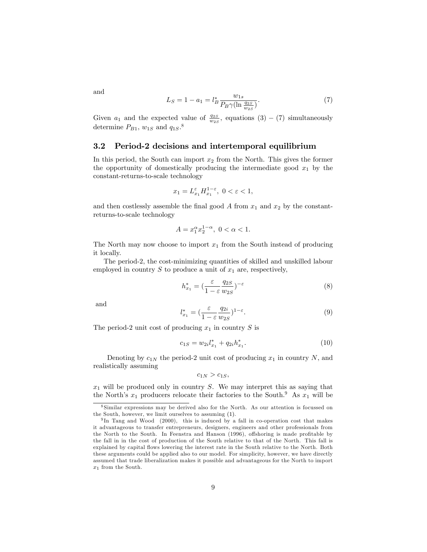$L_S = 1 - a_1 = l_B^* \frac{w_{1s}}{P_B \gamma(\ln s)}$  $\overline{P_B \gamma(\ln \frac{q_{2S}}{w_{2S}})}$ 

: (7)

Given  $a_1$  and the expected value of  $\frac{q_{2S}}{w_{2S}}$ , equations (3) – (7) simultaneously determine  $P_{B1}$ ,  $w_{1S}$  and  $q_{1S}$ .<sup>8</sup>

#### 3.2 Period-2 decisions and intertemporal equilibrium

In this period, the South can import  $x_2$  from the North. This gives the former the opportunity of domestically producing the intermediate good  $x_1$  by the constant-returns-to-scale technology

$$
x_1 = L_{x_1}^{\varepsilon} H_{x_1}^{1-\varepsilon}, \ 0 < \varepsilon < 1,
$$

and then costlessly assemble the final good  $A$  from  $x_1$  and  $x_2$  by the constantreturns-to-scale technology

$$
A = x_1^{\alpha} x_2^{1-\alpha}, \ 0 < \alpha < 1.
$$

The North may now choose to import  $x_1$  from the South instead of producing it locally.

The period-2, the cost-minimizing quantities of skilled and unskilled labour employed in country  $S$  to produce a unit of  $x_1$  are, respectively,

$$
h_{x_1}^* = \left(\frac{\varepsilon}{1 - \varepsilon} \frac{q_{2S}}{w_{2S}}\right)^{-\varepsilon} \tag{8}
$$

and

$$
l_{x_1}^* = \left(\frac{\varepsilon}{1 - \varepsilon} \frac{q_{2i}}{w_{2S}}\right)^{1 - \varepsilon}.
$$
\n(9)

The period-2 unit cost of producing  $x_1$  in country S is

$$
c_{1S} = w_{2i}l_{x_1}^* + q_{2i}h_{x_1}^*.
$$
\n(10)

Denoting by  $c_{1N}$  the period-2 unit cost of producing  $x_1$  in country N, and realistically assuming

$$
c_{1N} > c_{1S},
$$

 $x_1$  will be produced only in country S. We may interpret this as saying that the North's  $x_1$  producers relocate their factories to the South.<sup>9</sup> As  $x_1$  will be

and

<sup>8</sup> Similar expressions may be derived also for the North. As our attention is focussed on the South, however, we limit ourselves to assuming (1).

<sup>&</sup>lt;sup>9</sup>In Tang and Wood (2000), this is induced by a fall in co-operation cost that makes it advantageous to transfer entrepreneurs, designers, engineers and other professionals from the North to the South. In Feenstra and Hanson (1996), offshoring is made profitable by the fall in in the cost of production of the South relative to that of the North. This fall is explained by capital áows lowering the interest rate in the South relative to the North. Both these arguments could be applied also to our model. For simplicity, however, we have directly assumed that trade liberalization makes it possible and advantageous for the North to import  $x_1$  from the South.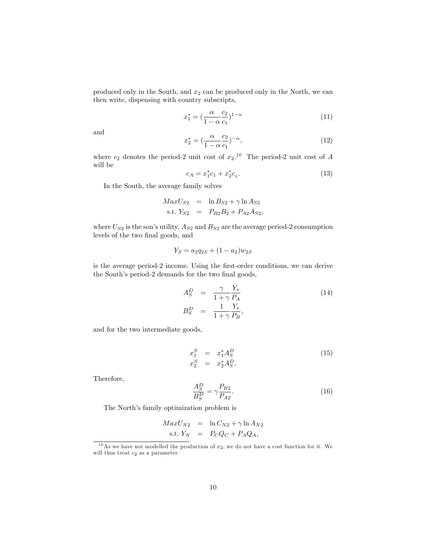produced only in the South, and  $x_2$  can be produced only in the North, we can then write, dispensing with country subscripts,

$$
x_1^* = \left(\frac{\alpha}{1 - \alpha} \frac{c_2}{c_1}\right)^{1 - \alpha} \tag{11}
$$

and

$$
x_2^* = \left(\frac{\alpha}{1 - \alpha} \frac{c_2}{c_1}\right)^{-\alpha},\tag{12}
$$

where  $c_2$  denotes the period-2 unit cost of  $x_2$ .<sup>10</sup> The period-2 unit cost of A will be

$$
c_A = x_1^* c_1 + x_2^* c_2. \tag{13}
$$

In the South, the average family solves

$$
MaxU_{S2} = \ln B_{S2} + \gamma \ln A_{S2}
$$
  
s.t.  $Y_{S2} = P_{B2}B_2 + P_{A2}A_{S2}$ ,

where  $U_{S2}$  is the son's utility,  $A_{S2}$  and  $B_{S2}$  are the average period-2 consumption levels of the two final goods, and

$$
Y_S = a_2 q_{2S} + (1 - a_2) w_{2S}
$$

is the average period-2 income. Using the first-order conditions, we can derive the South's period-2 demands for the two final goods,

$$
A_S^D = \frac{\gamma}{1+\gamma} \frac{Y_s}{P_A}
$$
  
\n
$$
B_S^D = \frac{1}{1+\gamma} \frac{Y_s}{P_B},
$$
\n(14)

and for the two intermediate goods,

$$
x_1^S = x_1^* A_S^D
$$
  
\n
$$
x_2^S = x_2^* A_S^D.
$$
\n(15)

Therefore,

$$
\frac{A_S^D}{B_S^D} = \gamma \frac{P_{B2}}{P_{A2}}.\tag{16}
$$

The North's family optimization problem is

$$
MaxU_{N2} = \ln C_{N2} + \gamma \ln A_{N2}
$$
  
s.t.  $Y_N = P_CQ_C + P_AQ_A$ ,

<sup>&</sup>lt;sup>10</sup>As we have not modelled the production of  $x_2$ , we do not have a cost function for it. We will thus treat  $c_2$  as a parameter.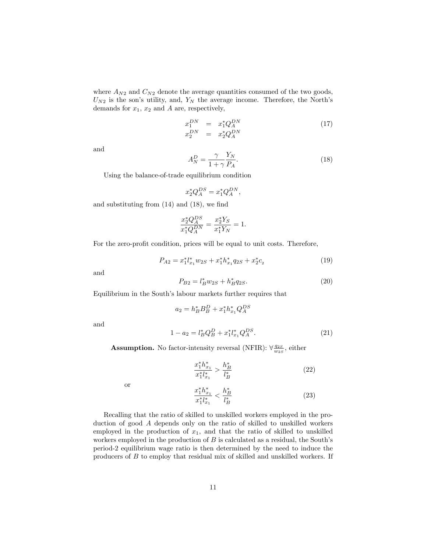where  $A_{N2}$  and  $C_{N2}$  denote the average quantities consumed of the two goods,  $U_{N2}$  is the son's utility, and,  $Y_N$  the average income. Therefore, the North's demands for  $x_1$ ,  $x_2$  and A are, respectively,

$$
x_1^{DN} = x_1^* Q_A^{DN}
$$
  
\n
$$
x_2^{DN} = x_2^* Q_A^{DN}
$$
\n(17)

and

$$
A_N^D = \frac{\gamma}{1 + \gamma} \frac{Y_N}{P_A}.\tag{18}
$$

Using the balance-of-trade equilibrium condition

$$
x_2^* Q_A^{DS} = x_1^* Q_A^{DN},
$$

and substituting from  $(14)$  and  $(18)$ , we find

$$
\frac{x_2^* Q_A^{DS}}{x_1^* Q_A^{DN}} = \frac{x_2^* Y_S}{x_1^* Y_N} = 1.
$$

For the zero-profit condition, prices will be equal to unit costs. Therefore,

$$
P_{A2} = x_1^* l_{x_1}^* w_{2S} + x_1^* h_{x_1}^* q_{2S} + x_2^* c_2 \tag{19}
$$

and

and

$$
P_{B2} = l_B^* w_{2S} + h_B^* q_{2S}.
$$
\n(20)

Equilibrium in the South's labour markets further requires that

$$
a_2 = h_B^* B_B^D + x_1^* h_{x_1}^* Q_A^{DS}
$$
  

$$
1 - a_2 = l_B^* Q_B^D + x_1^* l_{x_1}^* Q_A^{DS}.
$$
 (21)

**Assumption.** No factor-intensity reversal (NFIR):  $\forall \frac{q_{2S}}{w_{2S}}$ , either

$$
\frac{x_1^* h_{x_1}^*}{x_1^* l_{x_1}^*} > \frac{h_B^*}{l_B^*} \tag{22}
$$

or

$$
\frac{x_1^* h_{x_1}^*}{x_1^* l_{x_1}^*} < \frac{h_B^*}{l_B^*} \tag{23}
$$

Recalling that the ratio of skilled to unskilled workers employed in the production of good A depends only on the ratio of skilled to unskilled workers employed in the production of  $x_1$ , and that the ratio of skilled to unskilled workers employed in the production of  $B$  is calculated as a residual, the South's period-2 equilibrium wage ratio is then determined by the need to induce the producers of  $B$  to employ that residual mix of skilled and unskilled workers. If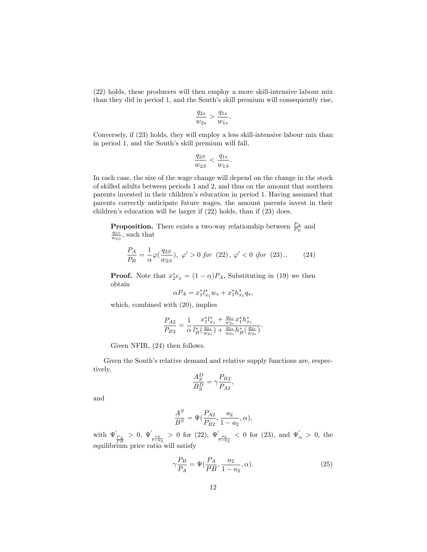(22) holds, these producers will then employ a more skill-intensive labour mix than they did in period 1, and the South's skill premium will consequently rise,

$$
\frac{q_{2s}}{w_{2s}} > \frac{q_{1s}}{w_{1s}}.
$$

Conversely, if (23) holds, they will employ a less skill-intensive labour mix than in period 1, and the South's skill premium will fall,

$$
\frac{q_{2S}}{w_{2S}} < \frac{q_{1s}}{w_{1S}}.
$$

In each case, the size of the wage change will depend on the change in the stock of skilled adults between periods 1 and 2, and thus on the amount that southern parents invested in their childrenís education in period 1. Having assumed that parents correctly anticipate future wages, the amount parents invest in their children's education will be larger if  $(22)$  holds, than if  $(23)$  does.

**Proposition.** There exists a two-way relationship between  $\frac{P_A}{P_B}$  and  $\frac{q_{2S}}{w_{2S}}$ , such that

$$
\frac{P_A}{P_B} = \frac{1}{\alpha} \varphi(\frac{q_{2S}}{w_{2S}}), \ \varphi' > 0 \ \text{for} \ (22), \ \varphi' < 0 \ \text{ifor} \ (23). \tag{24}
$$

**Proof.** Note that  $x_2^*c_2 = (1 - \alpha)P_A$ , Substituting in (19) we then obtain

$$
\alpha P_A = x_1^* l_{x_1}^* w_s + x_1^* h_{x_1}^* q_s,
$$

which, combined with (20), implies

$$
\frac{P_{A2}}{P_{B2}} = \frac{1}{\alpha} \frac{x_1^* l_{x_1}^* + \frac{q_{2s}}{w_{2s}} x_1^* h_{x_1}^*}{l_{B}^* (\frac{q_{2s}}{w_{2s}}) + \frac{q_{2s}}{w_{2s}} h_{B}^* (\frac{q_{2s}}{w_{2s}})}.
$$

Given NFIR, (24) then follows.

Given the South's relative demand and relative supply functions are, respectively,

$$
\frac{A_S^D}{B_S^D} = \gamma \frac{P_{B2}}{P_{A2}},
$$

and

$$
\frac{A^S}{B^S} = \Psi(\frac{P_{A2}}{P_{B2}}, \frac{a_2}{1 - a_2}, \alpha),
$$

with  $\Psi'_{\frac{P_A}{P_B}}>0$ ,  $\Psi'_{\frac{a_2}{1-a_2}}>0$  for (22),  $\Psi'_{\frac{a_2}{1-a_2}}<0$  for (23), and  $\Psi'_{\alpha}>0$ , the equilibrium price ratio will satisfy

$$
\gamma \frac{P_B}{P_A} = \Psi(\frac{P_A}{P B}, \frac{a_2}{1 - a_2}, \alpha). \tag{25}
$$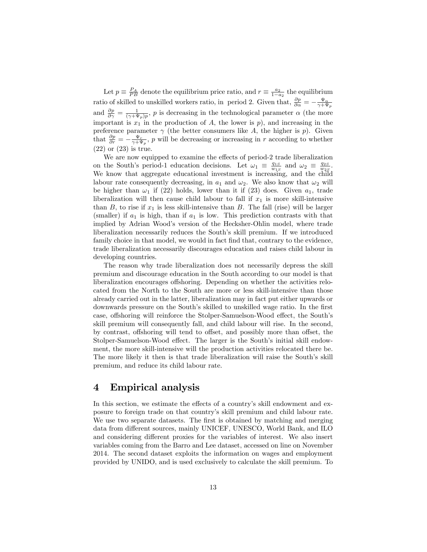Let  $p \equiv \frac{P_A}{PB}$  denote the equilibrium price ratio, and  $r \equiv \frac{a_2}{1-a_2}$  the equilibrium ratio of skilled to unskilled workers ratio, in period 2. Given that,  $\frac{\partial p}{\partial \alpha} = -\frac{\Psi_{\alpha}}{\gamma + \Psi_{p}}$ and  $\frac{\partial p}{\partial \gamma} = \frac{1}{(\gamma + \Psi_p)p}$ , p is decreasing in the technological parameter  $\alpha$  (the more important is  $x_1$  in the production of A, the lower is  $p$ ), and increasing in the preference parameter  $\gamma$  (the better consumers like A, the higher is p). Given that  $\frac{\partial p}{\partial r} = -\frac{\Psi_r}{\gamma + \Psi_p}$ , p will be decreasing or increasing in r according to whether (22) or (23) is true.

We are now equipped to examine the effects of period-2 trade liberalization on the South's period-1 education decisions. Let  $\omega_1 \equiv \frac{q_{1S}}{w_{1S}}$  and  $\omega_2 \equiv \frac{q_{2S}}{w_{2S}}$ . We know that aggregate educational investment is increasing, and the child labour rate consequently decreasing, in  $a_1$  and  $\omega_2$ . We also know that  $\omega_2$  will be higher than  $\omega_1$  if (22) holds, lower than it if (23) does. Given  $a_1$ , trade liberalization will then cause child labour to fall if  $x_1$  is more skill-intensive than  $B$ , to rise if  $x_1$  is less skill-intensive than  $B$ . The fall (rise) will be larger (smaller) if  $a_1$  is high, than if  $a_1$  is low. This prediction contrasts with that implied by Adrian Wood's version of the Hecksher-Ohlin model, where trade liberalization necessarily reduces the South's skill premium. If we introduced family choice in that model, we would in fact find that, contrary to the evidence, trade liberalization necessarily discourages education and raises child labour in developing countries.

The reason why trade liberalization does not necessarily depress the skill premium and discourage education in the South according to our model is that liberalization encourages offshoring. Depending on whether the activities relocated from the North to the South are more or less skill-intensive than those already carried out in the latter, liberalization may in fact put either upwards or downwards pressure on the South's skilled to unskilled wage ratio. In the first case, offshoring will reinforce the Stolper-Samuelson-Wood effect, the South's skill premium will consequently fall, and child labour will rise. In the second, by contrast, offshoring will tend to offset, and possibly more than offset, the Stolper-Samuelson-Wood effect. The larger is the South's initial skill endowment, the more skill-intensive will the production activities relocated there be. The more likely it then is that trade liberalization will raise the South's skill premium, and reduce its child labour rate.

### 4 Empirical analysis

In this section, we estimate the effects of a country's skill endowment and exposure to foreign trade on that countryís skill premium and child labour rate. We use two separate datasets. The first is obtained by matching and merging data from different sources, mainly UNICEF, UNESCO, World Bank, and ILO and considering different proxies for the variables of interest. We also insert variables coming from the Barro and Lee dataset, accessed on line on November 2014. The second dataset exploits the information on wages and employment provided by UNIDO, and is used exclusively to calculate the skill premium. To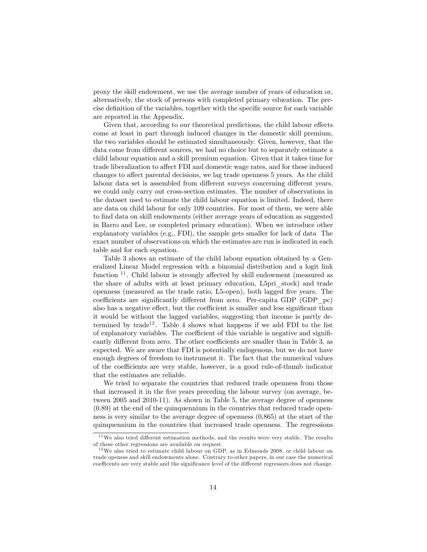proxy the skill endowment, we use the average number of years of education or, alternatively, the stock of persons with completed primary education. The precise definition of the variables, together with the specific source for each variable are reported in the Appendix.

Given that, according to our theoretical predictions, the child labour effects come at least in part through induced changes in the domestic skill premium, the two variables should be estimated simultaneously. Given, however, that the data come from different sources, we had no choice but to separately estimate a child labour equation and a skill premium equation. Given that it takes time for trade liberalization to affect FDI and domestic wage rates, and for these induced changes to affect parental decisions, we lag trade openness 5 years. As the child labour data set is assembled from different surveys concerning different years, we could only carry out cross-section estimates. The number of observations in the dataset used to estimate the child labour equation is limited. Indeed, there are data on child labour for only 109 countries. For most of them, we were able to Önd data on skill endowments (either average years of education as suggested in Barro and Lee, or completed primary education). When we introduce other explanatory variables (e.g., FDI), the sample gets smaller for lack of data The exact number of observations on which the estimates are run is indicated in each table and for each equation.

Table 3 shows an estimate of the child labour equation obtained by a Generalized Linear Model regression with a binomial distribution and a logit link function  $11$ . Child labour is strongly affected by skill endowment (measured as the share of adults with at least primary education, L5pri\_stock) and trade openness (measured as the trade ratio, L5-open), both lagged five years. The coefficients are significantly different from zero. Per-capita GDP (GDP  $pc$ ) also has a negative effect, but the coefficient is smaller and less significant than it would be without the lagged variables, suggesting that income is partly determined by trade<sup>12</sup>. Table 4 shows what happens if we add FDI to the list of explanatory variables. The coefficient of this variable is negative and significantly different from zero. The other coefficients are smaller than in Table 3, as expected. We are aware that FDI is potentially endogenous, but we do not have enough degrees of freedom to instrument it. The fact that the numerical values of the coefficients are very stable, however, is a good rule-of-thumb indicator that the estimates are reliable.

We tried to separate the countries that reduced trade openness from those that increased it in the Öve years preceding the labour survey (on average, between 2005 and 2010-11). As shown in Table 5, the average degree of openness (0.89) at the end of the quinquennium in the countries that reduced trade openness is very similar to the average degree of openness (0.865) at the start of the quinquennium in the countries that increased trade openness. The regressions

 $11$ We also tried different estimation methods, and the results were very stable. The results of these other regressions are available on request.

 $12$  We also tried to estimate child labour on GDP, as in Edmonds 2008, or child labour on trade openess and skill endowments alone. Contrary to other papers, in our case the numerical coefficents are very stable and the significance level of the different regressors does not change.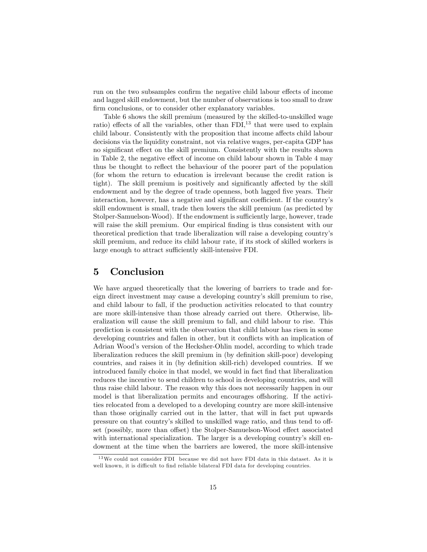run on the two subsamples confirm the negative child labour effects of income and lagged skill endowment, but the number of observations is too small to draw firm conclusions, or to consider other explanatory variables.

Table 6 shows the skill premium (measured by the skilled-to-unskilled wage ratio) effects of all the variables, other than  $FDI$ ,<sup>13</sup> that were used to explain child labour. Consistently with the proposition that income affects child labour decisions via the liquidity constraint, not via relative wages, per-capita GDP has no significant effect on the skill premium. Consistently with the results shown in Table 2, the negative effect of income on child labour shown in Table  $4 \text{ may}$ thus be thought to reflect the behaviour of the poorer part of the population (for whom the return to education is irrelevant because the credit ration is tight). The skill premium is positively and significantly affected by the skill endowment and by the degree of trade openness, both lagged five years. Their interaction, however, has a negative and significant coefficient. If the country's skill endowment is small, trade then lowers the skill premium (as predicted by Stolper-Samuelson-Wood). If the endowment is sufficiently large, however, trade will raise the skill premium. Our empirical finding is thus consistent with our theoretical prediction that trade liberalization will raise a developing countryís skill premium, and reduce its child labour rate, if its stock of skilled workers is large enough to attract sufficiently skill-intensive FDI.

#### 5 Conclusion

We have argued theoretically that the lowering of barriers to trade and foreign direct investment may cause a developing countryís skill premium to rise, and child labour to fall, if the production activities relocated to that country are more skill-intensive than those already carried out there. Otherwise, liberalization will cause the skill premium to fall, and child labour to rise. This prediction is consistent with the observation that child labour has risen in some developing countries and fallen in other, but it conflicts with an implication of Adrian Woodís version of the Hecksher-Ohlin model, according to which trade liberalization reduces the skill premium in (by definition skill-poor) developing countries, and raises it in (by definition skill-rich) developed countries. If we introduced family choice in that model, we would in fact find that liberalization reduces the incentive to send children to school in developing countries, and will thus raise child labour. The reason why this does not necessarily happen in our model is that liberalization permits and encourages offshoring. If the activities relocated from a developed to a developing country are more skill-intensive than those originally carried out in the latter, that will in fact put upwards pressure on that country's skilled to unskilled wage ratio, and thus tend to offset (possibly, more than offset) the Stolper-Samuelson-Wood effect associated with international specialization. The larger is a developing country's skill endowment at the time when the barriers are lowered, the more skill-intensive

 $13\,\text{We could not consider FDI}$  because we did not have FDI data in this dataset. As it is well known, it is difficult to find reliable bilateral FDI data for developing countries.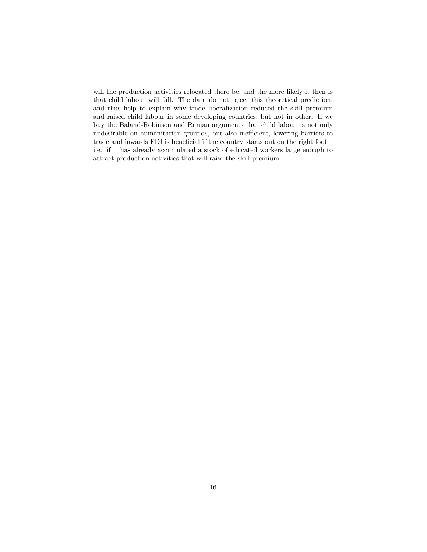will the production activities relocated there be, and the more likely it then is that child labour will fall. The data do not reject this theoretical prediction, and thus help to explain why trade liberalization reduced the skill premium and raised child labour in some developing countries, but not in other. If we buy the Baland-Robinson and Ranjan arguments that child labour is not only undesirable on humanitarian grounds, but also inefficient, lowering barriers to trade and inwards FDI is beneficial if the country starts out on the right foot  $$ i.e., if it has already accumulated a stock of educated workers large enough to attract production activities that will raise the skill premium.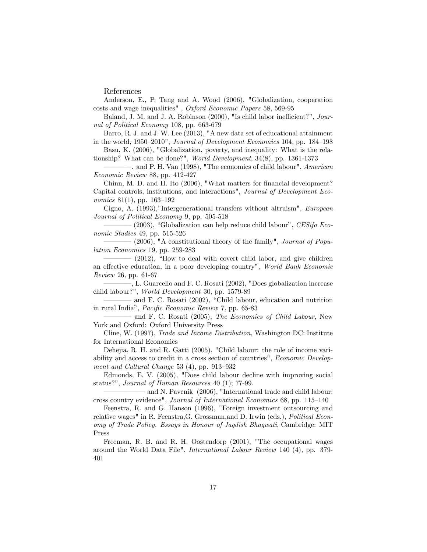References

Anderson, E., P. Tang and A. Wood (2006), "Globalization, cooperation costs and wage inequalities" , Oxford Economic Papers 58, 569-95

Baland, J. M. and J. A. Robinson (2000), "Is child labor inefficient?", Journal of Political Economy 108, pp. 663-679

Barro, R. J. and J. W. Lee (2013), "A new data set of educational attainment in the world,  $1950-2010$ ", *Journal of Development Economics* 104, pp. 184–198

Basu, K. (2006), "Globalization, poverty, and inequality: What is the relationship? What can be done?", World Development, 34(8), pp. 1361-1373

-. and P. H. Van (1998), "The economics of child labour", American Economic Review 88, pp. 412-427

Chinn, M. D. and H. Ito (2006), "What matters for financial development? Capital controls, institutions, and interactions", Journal of Development Economics  $81(1)$ , pp. 163–192

Cigno, A. (1993),"Intergenerational transfers without altruism", European Journal of Political Economy 9, pp. 505-518

 $\sim$  (2003), "Globalization can help reduce child labour", CESifo Economic Studies 49, pp. 515-526

 $-$  (2006), "A constitutional theory of the family", *Journal of Popu*lation Economics 19, pp. 259-283

 $-$  (2012), "How to deal with covert child labor, and give children an effective education, in a poor developing country", World Bank Economic Review 26, pp. 61-67

–, L. Guarcello and F. C. Rosati (2002), "Does globalization increase child labour?", World Development 30, pp. 1579-89

– and F. C. Rosati (2002), "Child labour, education and nutrition in rural India", *Pacific Economic Review* 7, pp. 65-83

and F. C. Rosati (2005), The Economics of Child Labour, New York and Oxford: Oxford University Press

Cline, W. (1997), Trade and Income Distribution, Washington DC: Institute for International Economics

Dehejia, R. H. and R. Gatti (2005), "Child labour: the role of income variability and access to credit in a cross section of countries", Economic Development and Cultural Change  $53$  (4), pp. 913–932

Edmonds, E. V. (2005), "Does child labour decline with improving social status?", Journal of Human Resources 40 (1); 77-99.

and N. Pavcnik (2006), "International trade and child labour: cross country evidence", Journal of International Economics 68, pp. 115-140

Feenstra, R. and G. Hanson (1996), "Foreign investment outsourcing and relative wages" in R. Feenstra,G. Grossman,and D. Irwin (eds.), Political Economy of Trade Policy. Essays in Honour of Jagdish Bhagwati, Cambridge: MIT Press

Freeman, R. B. and R. H. Oostendorp (2001), "The occupational wages around the World Data File", International Labour Review 140 (4), pp. 379- 401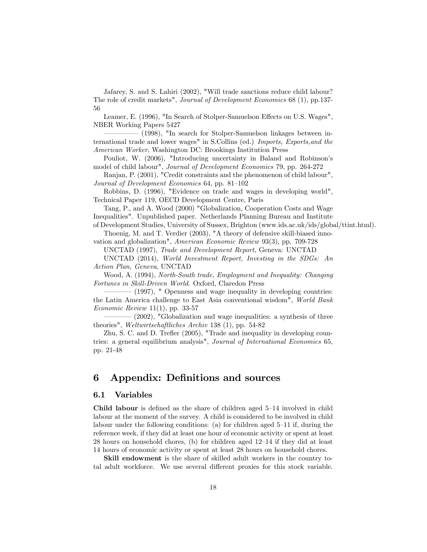Jafarey, S. and S. Lahiri (2002), "Will trade sanctions reduce child labour? The role of credit markets", Journal of Development Economics 68 (1), pp.137- 56

Leamer, E. (1996), "In Search of Stolper-Samuelson Effects on U.S. Wages", NBER Working Papers 5427

(1998), "In search for Stolper-Samuelson linkages between international trade and lower wages" in S.Collins (ed.) Imports, Exports,and the American Worker, Washington DC: Brookings Institution Press

Pouliot, W. (2006), "Introducing uncertainty in Baland and Robinson's model of child labour", Journal of Development Economics 79, pp. 264-272

Ranjan, P. (2001), "Credit constraints and the phenomenon of child labour", Journal of Development Economics 64, pp. 81–102

Robbins, D. (1996), "Evidence on trade and wages in developing world", Technical Paper 119, OECD Development Centre, Paris

Tang, P., and A. Wood (2000) "Globalization, Cooperation Costs and Wage Inequalities". Unpublished paper. Netherlands Planning Bureau and Institute

of Development Studies, University of Sussex, Brighton (www.ids.ac.uk/ids/global/ttint.html).

Thoenig, M. and T. Verdier (2003), "A theory of defensive skill-biased innovation and globalization", American Economic Review 93(3), pp. 709-728

UNCTAD (1997), Trade and Development Report, Geneva: UNCTAD

UNCTAD (2014), World Investment Report, Investing in the SDGs: An Action Plan, Geneva, UNCTAD

Wood, A. (1994), North-South trade, Employment and Inequality: Changing Fortunes in Skill-Driven World. Oxford, Claredon Press

(1997), " Openness and wage inequality in developing countries: the Latin America challenge to East Asia conventional wisdom", World Bank Economic Review  $11(1)$ , pp. 33-57

(2002), "Globalization and wage inequalities: a synthesis of three theories", Weltwirtschaftliches Archiv 138 (1), pp. 54-82

Zhu, S. C. and D. Trefler (2005), "Trade and inequality in developing countries: a general equilibrium analysis", Journal of International Economics 65, pp. 21-48

#### 6 Appendix: Definitions and sources

#### 6.1 Variables

**Child labour** is defined as the share of children aged  $5-14$  involved in child labour at the moment of the survey. A child is considered to be involved in child labour under the following conditions: (a) for children aged  $5-11$  if, during the reference week, if they did at least one hour of economic activity or spent at least 28 hours on household chores, (b) for children aged  $12-14$  if they did at least 14 hours of economic activity or spent at least 28 hours on household chores.

Skill endowment is the share of skilled adult workers in the country total adult workforce. We use several different proxies for this stock variable.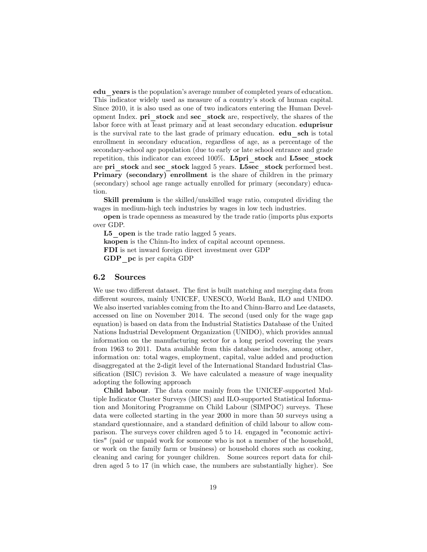edu years is the population's average number of completed years of education. This indicator widely used as measure of a country's stock of human capital. Since 2010, it is also used as one of two indicators entering the Human Development Index. pri stock and sec stock are, respectively, the shares of the labor force with at least primary and at least secondary education. eduprisur is the survival rate to the last grade of primary education. **edu** sch is total enrollment in secondary education, regardless of age, as a percentage of the secondary-school age population (due to early or late school entrance and grade repetition, this indicator can exceed 100%. L5pri\_stock and L5sec\_stock are pri\_stock and sec\_stock lagged 5 years. L5sec\_stock performed best. Primary (secondary) enrollment is the share of children in the primary (secondary) school age range actually enrolled for primary (secondary) education.

Skill premium is the skilled/unskilled wage ratio, computed dividing the wages in medium-high tech industries by wages in low tech industries.

open is trade openness as measured by the trade ratio (imports plus exports over GDP.

L5 open is the trade ratio lagged 5 years.

kaopen is the Chinn-Ito index of capital account openness. FDI is net inward foreign direct investment over GDP

GDP pc is per capita GDP

#### 6.2 Sources

We use two different dataset. The first is built matching and merging data from different sources, mainly UNICEF, UNESCO, World Bank, ILO and UNIDO. We also inserted variables coming from the Ito and Chinn-Barro and Lee datasets, accessed on line on November 2014. The second (used only for the wage gap equation) is based on data from the Industrial Statistics Database of the United Nations Industrial Development Organization (UNIDO), which provides annual information on the manufacturing sector for a long period covering the years from 1963 to 2011. Data available from this database includes, among other, information on: total wages, employment, capital, value added and production disaggregated at the 2-digit level of the International Standard Industrial Classification (ISIC) revision 3. We have calculated a measure of wage inequality adopting the following approach

Child labour. The data come mainly from the UNICEF-supported Multiple Indicator Cluster Surveys (MICS) and ILO-supported Statistical Information and Monitoring Programme on Child Labour (SIMPOC) surveys. These data were collected starting in the year 2000 in more than 50 surveys using a standard questionnaire, and a standard definition of child labour to allow comparison. The surveys cover children aged 5 to 14. engaged in "economic activities" (paid or unpaid work for someone who is not a member of the household, or work on the family farm or business) or household chores such as cooking, cleaning and caring for younger children. Some sources report data for children aged 5 to 17 (in which case, the numbers are substantially higher). See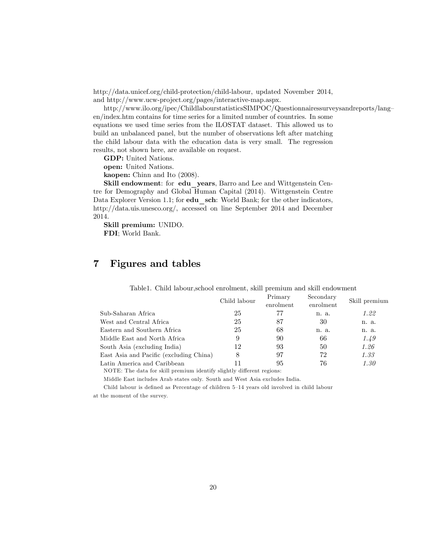http://data.unicef.org/child-protection/child-labour, updated November 2014, and http://www.ucw-project.org/pages/interactive-map.aspx.

http://www.ilo.org/ipec/ChildlabourstatisticsSIMPOC/Questionnairessurveysandreports/lang en/index.htm contains for time series for a limited number of countries. In some equations we used time series from the ILOSTAT dataset. This allowed us to build an unbalanced panel, but the number of observations left after matching the child labour data with the education data is very small. The regression results, not shown here, are available on request.

GDP: United Nations.

open: United Nations.

kaopen: Chinn and Ito (2008).

Skill endowment: for edu years, Barro and Lee and Wittgenstein Centre for Demography and Global Human Capital (2014). Wittgenstein Centre Data Explorer Version 1.1; for **edu** sch: World Bank; for the other indicators, http://data.uis.unesco.org/, accessed on line September 2014 and December 2014.

Skill premium: UNIDO. FDI; World Bank.

## 7 Figures and tables

|                                         | Child labour | Primary<br>enrolment | Secondary<br>enrolment | Skill premium |
|-----------------------------------------|--------------|----------------------|------------------------|---------------|
| Sub-Saharan Africa                      | 25           | 77                   | n. a.                  | 1.22          |
| West and Central Africa                 | 25           | 87                   | 30                     | n. a.         |
| Eastern and Southern Africa             | 25           | 68                   | n. a.                  | n. a.         |
| Middle East and North Africa            | 9            | 90                   | 66                     | 1.49          |
| South Asia (excluding India)            | 12           | 93                   | 50                     | 1.26          |
| East Asia and Pacific (excluding China) | 8            | 97                   | 72                     | 1.33          |
| Latin America and Caribbean             |              | 95                   | 76                     | 1.30          |
|                                         |              |                      |                        |               |

Table1. Child labour,school enrolment, skill premium and skill endowment

NOTE: The data for skill premium identify slightly different regions:

Middle East includes Arab states only. South and West Asia excludes India.

Child labour is defined as Percentage of children 5-14 years old involved in child labour at the moment of the survey.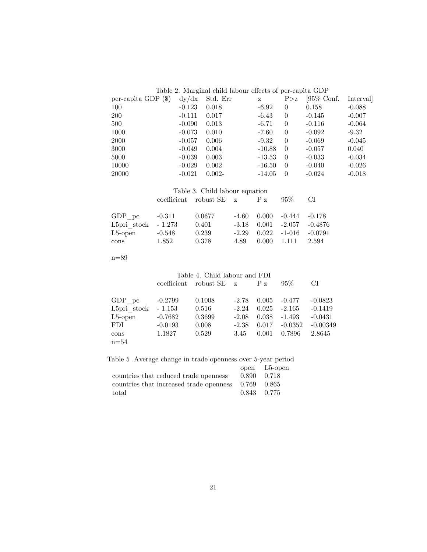| Table 2. Marginal child labour effects of per-capita GDP |  |
|----------------------------------------------------------|--|
|----------------------------------------------------------|--|

| per-capita GDP $(\$)$ | dy/dx    | Std. Err  | z        | P > z          | $[95\%$ Conf. | Interval |
|-----------------------|----------|-----------|----------|----------------|---------------|----------|
| 100                   | $-0.123$ | 0.018     | $-6.92$  | $\theta$       | 0.158         | $-0.088$ |
| <b>200</b>            | $-0.111$ | 0.017     | $-6.43$  | $\theta$       | $-0.145$      | $-0.007$ |
| 500                   | $-0.090$ | 0.013     | $-6.71$  | $\theta$       | $-0.116$      | $-0.064$ |
| 1000                  | $-0.073$ | 0.010     | $-7.60$  | $\theta$       | $-0.092$      | $-9.32$  |
| 2000                  | $-0.057$ | 0.006     | $-9.32$  | $\theta$       | $-0.069$      | $-0.045$ |
| 3000                  | $-0.049$ | 0.004     | $-10.88$ | $\overline{0}$ | $-0.057$      | 0.040    |
| 5000                  | $-0.039$ | 0.003     | $-13.53$ | $\theta$       | $-0.033$      | $-0.034$ |
| 10000                 | $-0.029$ | 0.002     | $-16.50$ | $\theta$       | $-0.040$      | $-0.026$ |
| 20000                 | $-0.021$ | $0.002 -$ | $-14.05$ | $\theta$       | $-0.024$      | $-0.018$ |

| Table 3. Child labour equation |       |                                          |      |  |                                    |      |
|--------------------------------|-------|------------------------------------------|------|--|------------------------------------|------|
|                                |       | $\text{coefficient}$ robust SE $z$ P $z$ |      |  | $95\%$                             | - CI |
|                                |       |                                          |      |  |                                    |      |
| GDP pc $-0.311$                |       | 0.0677                                   |      |  | $-4.60$ $0.000$ $-0.444$ $-0.178$  |      |
| L5pri stock - 1.273            |       | $0.401\,$                                |      |  | $-3.18$ $0.001$ $-2.057$ $-0.4876$ |      |
| L5-open -0.548                 |       | 0.239                                    |      |  | $-2.29$ $0.022$ $-1-016$ $-0.0791$ |      |
| cons                           | 1.852 | 0.378                                    | 4.89 |  | $0.000 \quad 1.111 \quad 2.594$    |      |

 $\mathrm{n}{=}89$ 

| Table 4. Child labour and FDI |           |                                    |         |         |           |            |
|-------------------------------|-----------|------------------------------------|---------|---------|-----------|------------|
|                               |           | $\text{coefficient}$ robust SE $z$ |         | $P_{Z}$ | 95%       | CI         |
| GDP pc                        | $-0.2799$ | 0.1008                             | $-2.78$ | 0.005   | $-0.477$  | $-0.0823$  |
| L5pri stock                   | $-1.153$  | 0.516                              | $-2.24$ | 0.025   | $-2.165$  | $-0.1419$  |
| $L5$ -open                    | $-0.7682$ | 0.3699                             | $-2.08$ | 0.038   | $-1.493$  | $-0.0431$  |
| <b>FDI</b>                    | $-0.0193$ | 0.008                              | $-2.38$ | 0.017   | $-0.0352$ | $-0.00349$ |
| cons                          | 1.1827    | 0.529                              | 3.45    | 0.001   | 0.7896    | 2.8645     |
| $n=54$                        |           |                                    |         |         |           |            |

Table 5 .Average change in trade openness over 5-year period

|                                                       |             | open L5-open |
|-------------------------------------------------------|-------------|--------------|
| countries that reduced trade openness                 | 0.890 0.718 |              |
| countries that increased trade openness $0.769$ 0.865 |             |              |
| total                                                 | 0.843 0.775 |              |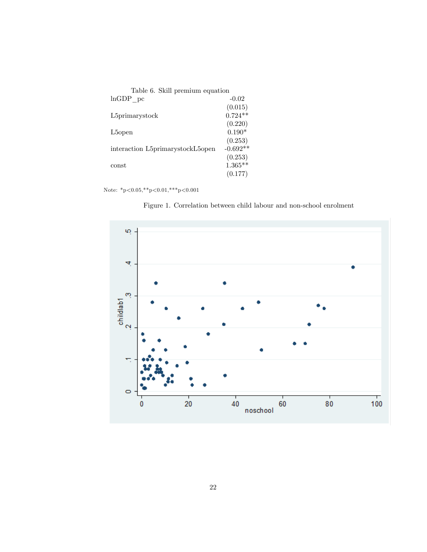| Table 6. Skill premium equation  |            |
|----------------------------------|------------|
| $lnGDP$ pc                       | $-0.02$    |
|                                  | (0.015)    |
| L5primarystock                   | $0.724**$  |
|                                  | (0.220)    |
| L <sub>5</sub> open              | $0.190*$   |
|                                  | (0.253)    |
| interaction L5primarystockL5open | $-0.692**$ |
|                                  | (0.253)    |
| const                            | $1.365**$  |
|                                  | (0.177)    |

Note:  $^*\text{p}{<}0.05, ^*\text{*p}{<}0.01, ^*\text{**p}{<}0.001$